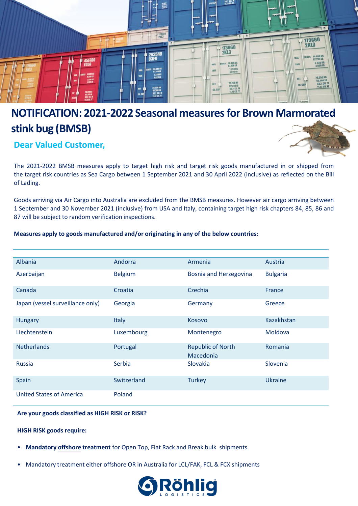

# **NOTIFICATION: 2021-2022 Seasonal measures for Brown Marmorated stink bug (BMSB)**

**Dear Valued Customer,**



The 2021-2022 BMSB measures apply to target high risk and target risk goods manufactured in or shipped from the target risk countries as Sea Cargo between 1 September 2021 and 30 April 2022 (inclusive) as reflected on the Bill of Lading.

Goods arriving via Air Cargo into Australia are excluded from the BMSB measures. However air cargo arriving between 1 September and 30 November 2021 (inclusive) from USA and Italy, containing target high risk chapters 84, 85, 86 and 87 will be subject to random verification inspections.

## **Measures apply to goods manufactured and/or originating in any of the below countries:**

| Albania                          | Andorra        | Armenia                               | Austria         |
|----------------------------------|----------------|---------------------------------------|-----------------|
| Azerbaijan                       | <b>Belgium</b> | <b>Bosnia and Herzegovina</b>         | <b>Bulgaria</b> |
| Canada                           | Croatia        | Czechia                               | France          |
| Japan (vessel surveillance only) | Georgia        | Germany                               | Greece          |
| <b>Hungary</b>                   | <b>Italy</b>   | Kosovo                                | Kazakhstan      |
| Liechtenstein                    | Luxembourg     | Montenegro                            | Moldova         |
| <b>Netherlands</b>               | Portugal       | <b>Republic of North</b><br>Macedonia | Romania         |
| <b>Russia</b>                    | Serbia         | Slovakia                              | Slovenia        |
| Spain                            | Switzerland    | <b>Turkey</b>                         | <b>Ukraine</b>  |
| <b>United States of America</b>  | Poland         |                                       |                 |

## **Are your goods classified as HIGH RISK or RISK?**

**HIGH RISK goods require:**

- **Mandatory offshore treatment** for Open Top, Flat Rack and Break bulk shipments
- Mandatory treatment either offshore OR in Australia for LCL/FAK, FCL & FCX shipments